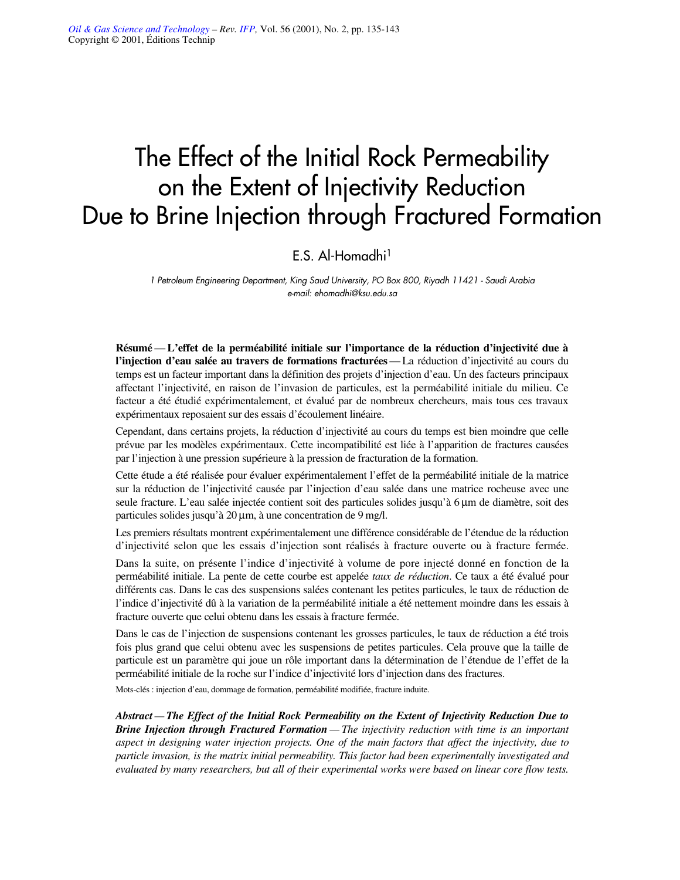# The Effect of the Initial Rock Permeability on the Extent of Injectivity Reduction Due to Brine Injection through Fractured Formation

# E.S. Al-Homadhi<sup>1</sup>

*1 Petroleum Engineering Department, King Saud University, PO Box 800, Riyadh 11421 - Saudi Arabia e-mail: ehomadhi@ksu.edu.sa*

**Résumé** — **L'effet de la perméabilité initiale sur l'importance de la réduction d'injectivité due à l'injection d'eau salée au travers de formations fracturées**— La réduction d'injectivité au cours du temps est un facteur important dans la définition des projets d'injection d'eau. Un des facteurs principaux affectant l'injectivité, en raison de l'invasion de particules, est la perméabilité initiale du milieu. Ce facteur a été étudié expérimentalement, et évalué par de nombreux chercheurs, mais tous ces travaux expérimentaux reposaient sur des essais d'écoulement linéaire.

Cependant, dans certains projets, la réduction d'injectivité au cours du temps est bien moindre que celle prévue par les modèles expérimentaux. Cette incompatibilité est liée à l'apparition de fractures causées par l'injection à une pression supérieure à la pression de fracturation de la formation.

Cette étude a été réalisée pour évaluer expérimentalement l'effet de la perméabilité initiale de la matrice sur la réduction de l'injectivité causée par l'injection d'eau salée dans une matrice rocheuse avec une seule fracture. L'eau salée injectée contient soit des particules solides jusqu'à 6 µm de diamètre, soit des particules solides jusqu'à 20 µm, à une concentration de 9 mg/l.

Les premiers résultats montrent expérimentalement une différence considérable de l'étendue de la réduction d'injectivité selon que les essais d'injection sont réalisés à fracture ouverte ou à fracture fermée.

Dans la suite, on présente l'indice d'injectivité à volume de pore injecté donné en fonction de la perméabilité initiale. La pente de cette courbe est appelée *taux de réduction*. Ce taux a été évalué pour différents cas. Dans le cas des suspensions salées contenant les petites particules, le taux de réduction de l'indice d'injectivité dû à la variation de la perméabilité initiale a été nettement moindre dans les essais à fracture ouverte que celui obtenu dans les essais à fracture fermée.

Dans le cas de l'injection de suspensions contenant les grosses particules, le taux de réduction a été trois fois plus grand que celui obtenu avec les suspensions de petites particules. Cela prouve que la taille de particule est un paramètre qui joue un rôle important dans la détermination de l'étendue de l'effet de la perméabilité initiale de la roche sur l'indice d'injectivité lors d'injection dans des fractures.

Mots-clés : injection d'eau, dommage de formation, perméabilité modifiée, fracture induite.

*Abstract — The Effect of the Initial Rock Permeability on the Extent of Injectivity Reduction Due to Brine Injection through Fractured Formation — The injectivity reduction with time is an important aspect in designing water injection projects. One of the main factors that affect the injectivity, due to particle invasion, is the matrix initial permeability. This factor had been experimentally investigated and evaluated by many researchers, but all of their experimental works were based on linear core flow tests.*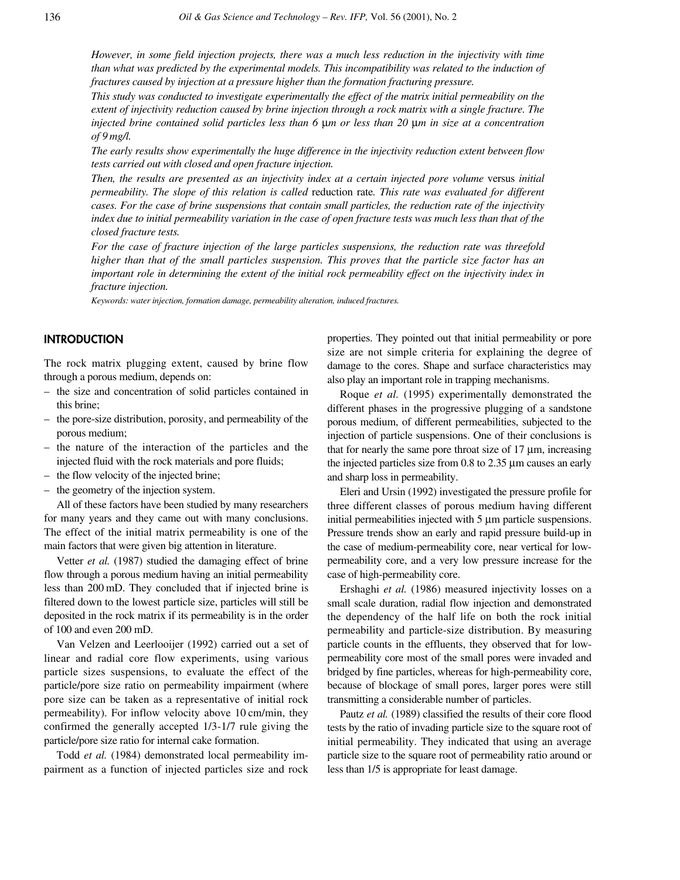*However, in some field injection projects, there was a much less reduction in the injectivity with time than what was predicted by the experimental models. This incompatibility was related to the induction of fractures caused by injection at a pressure higher than the formation fracturing pressure.*

*This study was conducted to investigate experimentally the effect of the matrix initial permeability on the extent of injectivity reduction caused by brine injection through a rock matrix with a single fracture. The injected brine contained solid particles less than 6* µ*m or less than 20* µ*m in size at a concentration of 9 mg/l.*

*The early results show experimentally the huge difference in the injectivity reduction extent between flow tests carried out with closed and open fracture injection.*

*Then, the results are presented as an injectivity index at a certain injected pore volume* versus *initial permeability. The slope of this relation is called* reduction rate*. This rate was evaluated for different cases. For the case of brine suspensions that contain small particles, the reduction rate of the injectivity index due to initial permeability variation in the case of open fracture tests was much less than that of the closed fracture tests.*

*For the case of fracture injection of the large particles suspensions, the reduction rate was threefold higher than that of the small particles suspension. This proves that the particle size factor has an important role in determining the extent of the initial rock permeability effect on the injectivity index in fracture injection.*

*Keywords: water injection, formation damage, permeability alteration, induced fractures.*

# **INTRODUCTION**

The rock matrix plugging extent, caused by brine flow through a porous medium, depends on:

- the size and concentration of solid particles contained in this brine;
- the pore-size distribution, porosity, and permeability of the porous medium;
- the nature of the interaction of the particles and the injected fluid with the rock materials and pore fluids;
- the flow velocity of the injected brine;
- the geometry of the injection system.

All of these factors have been studied by many researchers for many years and they came out with many conclusions. The effect of the initial matrix permeability is one of the main factors that were given big attention in literature.

Vetter *et al.* (1987) studied the damaging effect of brine flow through a porous medium having an initial permeability less than 200 mD. They concluded that if injected brine is filtered down to the lowest particle size, particles will still be deposited in the rock matrix if its permeability is in the order of 100 and even 200 mD.

Van Velzen and Leerlooijer (1992) carried out a set of linear and radial core flow experiments, using various particle sizes suspensions, to evaluate the effect of the particle/pore size ratio on permeability impairment (where pore size can be taken as a representative of initial rock permeability). For inflow velocity above 10 cm/min, they confirmed the generally accepted 1/3-1/7 rule giving the particle/pore size ratio for internal cake formation.

Todd *et al.* (1984) demonstrated local permeability impairment as a function of injected particles size and rock properties. They pointed out that initial permeability or pore size are not simple criteria for explaining the degree of damage to the cores. Shape and surface characteristics may also play an important role in trapping mechanisms.

Roque *et al.* (1995) experimentally demonstrated the different phases in the progressive plugging of a sandstone porous medium, of different permeabilities, subjected to the injection of particle suspensions. One of their conclusions is that for nearly the same pore throat size of  $17 \mu m$ , increasing the injected particles size from 0.8 to 2.35 µm causes an early and sharp loss in permeability.

Eleri and Ursin (1992) investigated the pressure profile for three different classes of porous medium having different initial permeabilities injected with 5 µm particle suspensions. Pressure trends show an early and rapid pressure build-up in the case of medium-permeability core, near vertical for lowpermeability core, and a very low pressure increase for the case of high-permeability core.

Ershaghi *et al.* (1986) measured injectivity losses on a small scale duration, radial flow injection and demonstrated the dependency of the half life on both the rock initial permeability and particle-size distribution. By measuring particle counts in the effluents, they observed that for lowpermeability core most of the small pores were invaded and bridged by fine particles, whereas for high-permeability core, because of blockage of small pores, larger pores were still transmitting a considerable number of particles.

Pautz *et al.* (1989) classified the results of their core flood tests by the ratio of invading particle size to the square root of initial permeability. They indicated that using an average particle size to the square root of permeability ratio around or less than 1/5 is appropriate for least damage.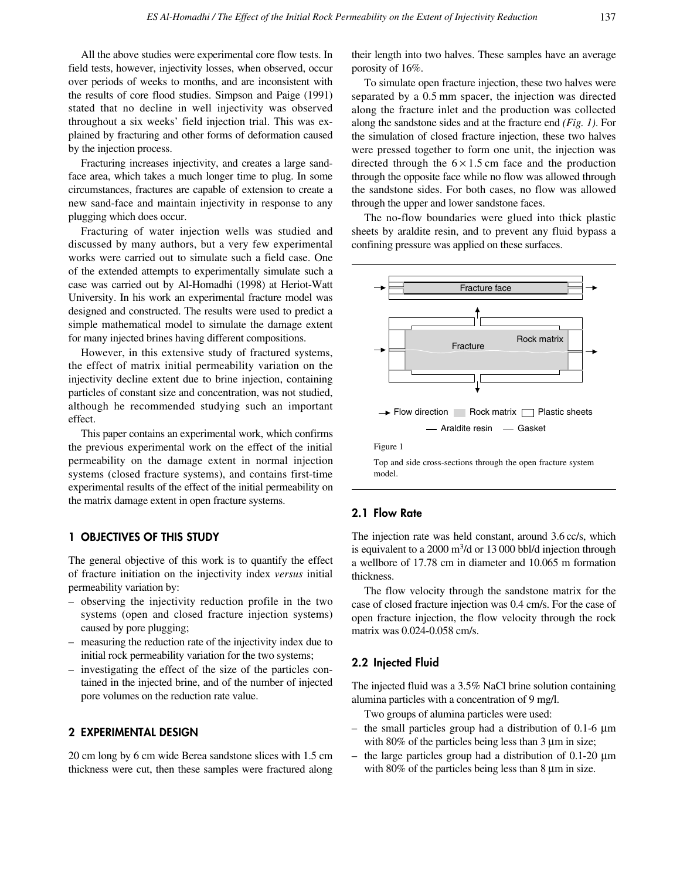All the above studies were experimental core flow tests. In field tests, however, injectivity losses, when observed, occur over periods of weeks to months, and are inconsistent with the results of core flood studies. Simpson and Paige (1991) stated that no decline in well injectivity was observed throughout a six weeks' field injection trial. This was explained by fracturing and other forms of deformation caused by the injection process.

Fracturing increases injectivity, and creates a large sandface area, which takes a much longer time to plug. In some circumstances, fractures are capable of extension to create a new sand-face and maintain injectivity in response to any plugging which does occur.

Fracturing of water injection wells was studied and discussed by many authors, but a very few experimental works were carried out to simulate such a field case. One of the extended attempts to experimentally simulate such a case was carried out by Al-Homadhi (1998) at Heriot-Watt University. In his work an experimental fracture model was designed and constructed. The results were used to predict a simple mathematical model to simulate the damage extent for many injected brines having different compositions.

However, in this extensive study of fractured systems, the effect of matrix initial permeability variation on the injectivity decline extent due to brine injection, containing particles of constant size and concentration, was not studied, although he recommended studying such an important effect.

This paper contains an experimental work, which confirms the previous experimental work on the effect of the initial permeability on the damage extent in normal injection systems (closed fracture systems), and contains first-time experimental results of the effect of the initial permeability on the matrix damage extent in open fracture systems.

# **1 OBJECTIVES OF THIS STUDY**

The general objective of this work is to quantify the effect of fracture initiation on the injectivity index *versus* initial permeability variation by:

- observing the injectivity reduction profile in the two systems (open and closed fracture injection systems) caused by pore plugging;
- measuring the reduction rate of the injectivity index due to initial rock permeability variation for the two systems;
- investigating the effect of the size of the particles contained in the injected brine, and of the number of injected pore volumes on the reduction rate value.

# **2 EXPERIMENTAL DESIGN**

20 cm long by 6 cm wide Berea sandstone slices with 1.5 cm thickness were cut, then these samples were fractured along their length into two halves. These samples have an average porosity of 16%.

To simulate open fracture injection, these two halves were separated by a 0.5 mm spacer, the injection was directed along the fracture inlet and the production was collected along the sandstone sides and at the fracture end *(Fig. 1)*. For the simulation of closed fracture injection, these two halves were pressed together to form one unit, the injection was directed through the  $6 \times 1.5$  cm face and the production through the opposite face while no flow was allowed through the sandstone sides. For both cases, no flow was allowed through the upper and lower sandstone faces.

The no-flow boundaries were glued into thick plastic sheets by araldite resin, and to prevent any fluid bypass a confining pressure was applied on these surfaces.



Top and side cross-sections through the open fracture system model.

# **2.1 Flow Rate**

The injection rate was held constant, around 3.6 cc/s, which is equivalent to a 2000  $\text{m}^3$ /d or 13 000 bbl/d injection through a wellbore of 17.78 cm in diameter and 10.065 m formation thickness.

The flow velocity through the sandstone matrix for the case of closed fracture injection was 0.4 cm/s. For the case of open fracture injection, the flow velocity through the rock matrix was 0.024-0.058 cm/s.

# **2.2 Injected Fluid**

The injected fluid was a 3.5% NaCl brine solution containing alumina particles with a concentration of 9 mg/l.

Two groups of alumina particles were used:

- the small particles group had a distribution of 0.1-6 µm with  $80\%$  of the particles being less than 3  $\mu$ m in size;
- the large particles group had a distribution of  $0.1$ -20  $\mu$ m with 80% of the particles being less than 8  $\mu$ m in size.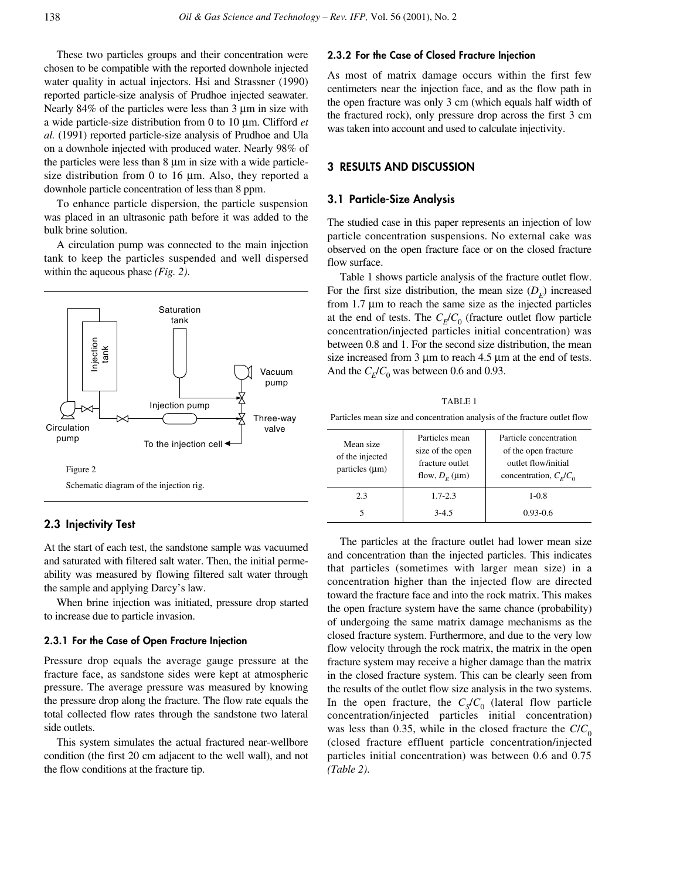These two particles groups and their concentration were chosen to be compatible with the reported downhole injected water quality in actual injectors. Hsi and Strassner (1990) reported particle-size analysis of Prudhoe injected seawater. Nearly 84% of the particles were less than 3  $\mu$ m in size with a wide particle-size distribution from 0 to 10 µm. Clifford *et al.* (1991) reported particle-size analysis of Prudhoe and Ula on a downhole injected with produced water. Nearly 98% of the particles were less than  $8 \mu m$  in size with a wide particlesize distribution from 0 to 16  $\mu$ m. Also, they reported a downhole particle concentration of less than 8 ppm.

To enhance particle dispersion, the particle suspension was placed in an ultrasonic path before it was added to the bulk brine solution.

A circulation pump was connected to the main injection tank to keep the particles suspended and well dispersed within the aqueous phase *(Fig. 2)*.



# **2.3 Injectivity Test**

At the start of each test, the sandstone sample was vacuumed and saturated with filtered salt water. Then, the initial permeability was measured by flowing filtered salt water through the sample and applying Darcy's law.

When brine injection was initiated, pressure drop started to increase due to particle invasion.

# **2.3.1 For the Case of Open Fracture Injection**

Pressure drop equals the average gauge pressure at the fracture face, as sandstone sides were kept at atmospheric pressure. The average pressure was measured by knowing the pressure drop along the fracture. The flow rate equals the total collected flow rates through the sandstone two lateral side outlets.

This system simulates the actual fractured near-wellbore condition (the first 20 cm adjacent to the well wall), and not the flow conditions at the fracture tip.

#### **2.3.2 For the Case of Closed Fracture Injection**

As most of matrix damage occurs within the first few centimeters near the injection face, and as the flow path in the open fracture was only 3 cm (which equals half width of the fractured rock), only pressure drop across the first 3 cm was taken into account and used to calculate injectivity.

## **3 RESULTS AND DISCUSSION**

# **3.1 Particle-Size Analysis**

The studied case in this paper represents an injection of low particle concentration suspensions. No external cake was observed on the open fracture face or on the closed fracture flow surface.

Table 1 shows particle analysis of the fracture outlet flow. For the first size distribution, the mean size  $(D_F)$  increased from 1.7 µm to reach the same size as the injected particles at the end of tests. The  $C_F/C_0$  (fracture outlet flow particle concentration/injected particles initial concentration) was between 0.8 and 1. For the second size distribution, the mean size increased from 3  $\mu$ m to reach 4.5  $\mu$ m at the end of tests. And the  $C_E/C_0$  was between 0.6 and 0.93.

TABLE 1

Particles mean size and concentration analysis of the fracture outlet flow

| Mean size<br>of the injected<br>particles $(\mu m)$ | Particles mean<br>size of the open<br>fracture outlet<br>flow, $D_F(\mu m)$ | Particle concentration<br>of the open fracture<br>outlet flow/initial<br>concentration, $C_F/C_0$ |
|-----------------------------------------------------|-----------------------------------------------------------------------------|---------------------------------------------------------------------------------------------------|
| 2.3                                                 | $1.7 - 2.3$                                                                 | $1-0.8$                                                                                           |
|                                                     | $3 - 4.5$                                                                   | $0.93 - 0.6$                                                                                      |

The particles at the fracture outlet had lower mean size and concentration than the injected particles. This indicates that particles (sometimes with larger mean size) in a concentration higher than the injected flow are directed toward the fracture face and into the rock matrix. This makes the open fracture system have the same chance (probability) of undergoing the same matrix damage mechanisms as the closed fracture system. Furthermore, and due to the very low flow velocity through the rock matrix, the matrix in the open fracture system may receive a higher damage than the matrix in the closed fracture system. This can be clearly seen from the results of the outlet flow size analysis in the two systems. In the open fracture, the  $C_s/C_0$  (lateral flow particle concentration/injected particles initial concentration) was less than 0.35, while in the closed fracture the  $C/C<sub>0</sub>$ (closed fracture effluent particle concentration/injected particles initial concentration) was between 0.6 and 0.75 *(Table 2)*.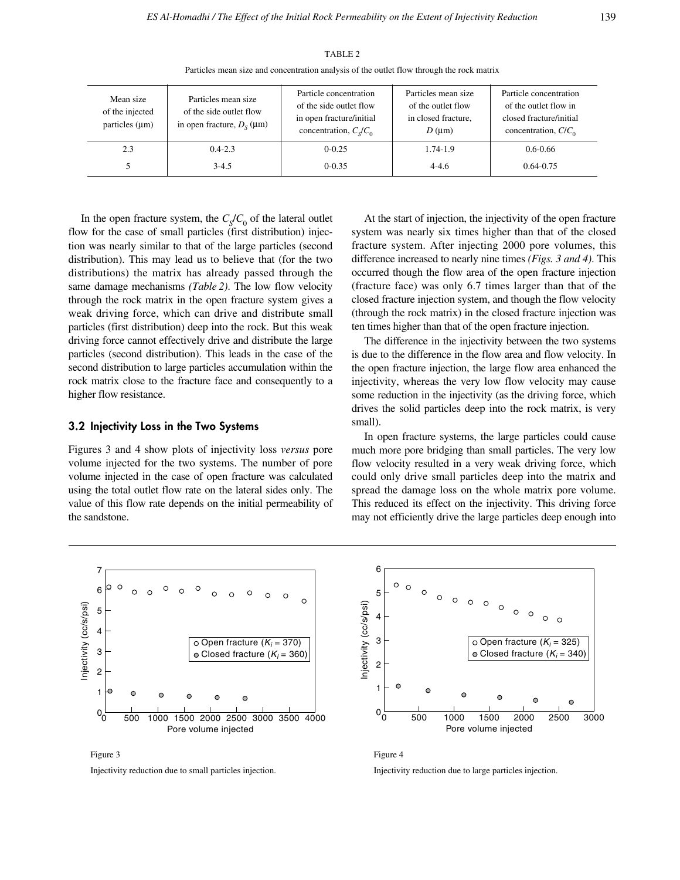| Mean size<br>of the injected<br>particles $(\mu m)$ | Particles mean size<br>of the side outlet flow<br>in open fracture, $D_{\rm c}$ (µm) | Particle concentration<br>of the side outlet flow<br>in open fracture/initial<br>concentration, $C_{\rm g}/C_0$ | Particles mean size<br>of the outlet flow<br>in closed fracture.<br>$D$ (um) | Particle concentration<br>of the outlet flow in<br>closed fracture/initial<br>concentration, $C/C_0$ |
|-----------------------------------------------------|--------------------------------------------------------------------------------------|-----------------------------------------------------------------------------------------------------------------|------------------------------------------------------------------------------|------------------------------------------------------------------------------------------------------|
| 2.3                                                 | $0.4 - 2.3$                                                                          | $0 - 0.25$                                                                                                      | 1.74-1.9                                                                     | $0.6 - 0.66$                                                                                         |
|                                                     | $3-4.5$                                                                              | $0 - 0.35$                                                                                                      | $4 - 4.6$                                                                    | $0.64 - 0.75$                                                                                        |

TABLE 2

Particles mean size and concentration analysis of the outlet flow through the rock matrix

In the open fracture system, the  $C_s/C_0$  of the lateral outlet flow for the case of small particles (first distribution) injection was nearly similar to that of the large particles (second distribution). This may lead us to believe that (for the two distributions) the matrix has already passed through the same damage mechanisms *(Table 2)*. The low flow velocity through the rock matrix in the open fracture system gives a weak driving force, which can drive and distribute small particles (first distribution) deep into the rock. But this weak driving force cannot effectively drive and distribute the large particles (second distribution). This leads in the case of the second distribution to large particles accumulation within the rock matrix close to the fracture face and consequently to a higher flow resistance.

#### **3.2 Injectivity Loss in the Two Systems**

Figures 3 and 4 show plots of injectivity loss *versus* pore volume injected for the two systems. The number of pore volume injected in the case of open fracture was calculated using the total outlet flow rate on the lateral sides only. The value of this flow rate depends on the initial permeability of the sandstone.

At the start of injection, the injectivity of the open fracture system was nearly six times higher than that of the closed fracture system. After injecting 2000 pore volumes, this difference increased to nearly nine times *(Figs. 3 and 4)*. This occurred though the flow area of the open fracture injection (fracture face) was only 6.7 times larger than that of the closed fracture injection system, and though the flow velocity (through the rock matrix) in the closed fracture injection was ten times higher than that of the open fracture injection.

The difference in the injectivity between the two systems is due to the difference in the flow area and flow velocity. In the open fracture injection, the large flow area enhanced the injectivity, whereas the very low flow velocity may cause some reduction in the injectivity (as the driving force, which drives the solid particles deep into the rock matrix, is very small).

In open fracture systems, the large particles could cause much more pore bridging than small particles. The very low flow velocity resulted in a very weak driving force, which could only drive small particles deep into the matrix and spread the damage loss on the whole matrix pore volume. This reduced its effect on the injectivity. This driving force may not efficiently drive the large particles deep enough into







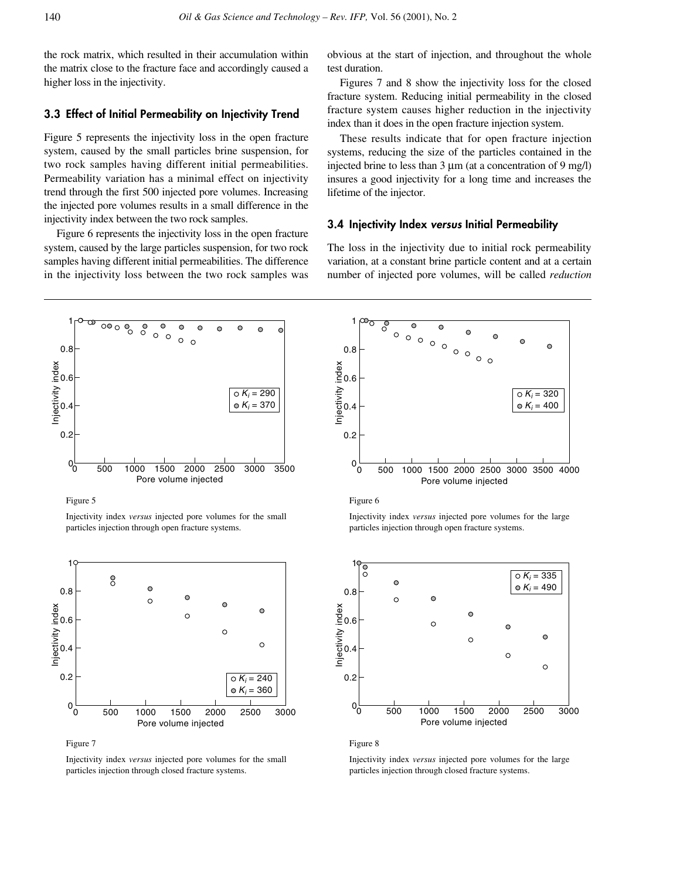the rock matrix, which resulted in their accumulation within the matrix close to the fracture face and accordingly caused a higher loss in the injectivity.

# **3.3 Effect of Initial Permeability on Injectivity Trend**

Figure 5 represents the injectivity loss in the open fracture system, caused by the small particles brine suspension, for two rock samples having different initial permeabilities. Permeability variation has a minimal effect on injectivity trend through the first 500 injected pore volumes. Increasing the injected pore volumes results in a small difference in the injectivity index between the two rock samples.

Figure 6 represents the injectivity loss in the open fracture system, caused by the large particles suspension, for two rock samples having different initial permeabilities. The difference in the injectivity loss between the two rock samples was



Figure 5

Injectivity index *versus* injected pore volumes for the small particles injection through open fracture systems.



Figure 7

Injectivity index *versus* injected pore volumes for the small particles injection through closed fracture systems.

obvious at the start of injection, and throughout the whole test duration.

Figures 7 and 8 show the injectivity loss for the closed fracture system. Reducing initial permeability in the closed fracture system causes higher reduction in the injectivity index than it does in the open fracture injection system.

These results indicate that for open fracture injection systems, reducing the size of the particles contained in the injected brine to less than 3 µm (at a concentration of 9 mg/l) insures a good injectivity for a long time and increases the lifetime of the injector.

# **3.4 Injectivity Index** *versus* **Initial Permeability**

The loss in the injectivity due to initial rock permeability variation, at a constant brine particle content and at a certain number of injected pore volumes, will be called *reduction*



Figure 6

Injectivity index *versus* injected pore volumes for the large particles injection through open fracture systems.



#### Figure 8

Injectivity index *versus* injected pore volumes for the large particles injection through closed fracture systems.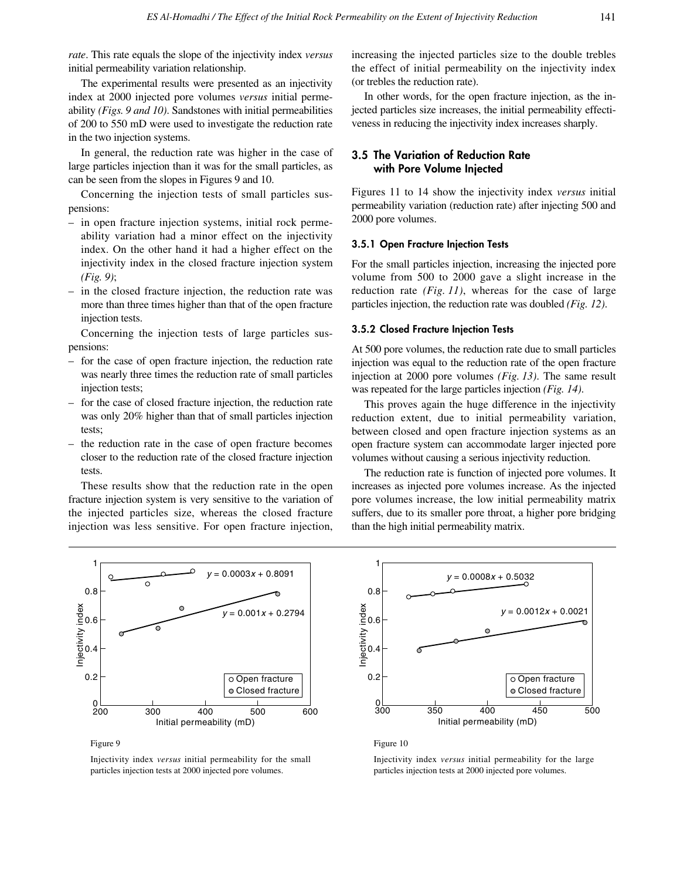*rate*. This rate equals the slope of the injectivity index *versus* initial permeability variation relationship.

The experimental results were presented as an injectivity index at 2000 injected pore volumes *versus* initial permeability *(Figs. 9 and 10)*. Sandstones with initial permeabilities of 200 to 550 mD were used to investigate the reduction rate in the two injection systems.

In general, the reduction rate was higher in the case of large particles injection than it was for the small particles, as can be seen from the slopes in Figures 9 and 10.

Concerning the injection tests of small particles suspensions:

- in open fracture injection systems, initial rock permeability variation had a minor effect on the injectivity index. On the other hand it had a higher effect on the injectivity index in the closed fracture injection system *(Fig. 9)*;
- in the closed fracture injection, the reduction rate was more than three times higher than that of the open fracture injection tests.

Concerning the injection tests of large particles suspensions:

- for the case of open fracture injection, the reduction rate was nearly three times the reduction rate of small particles injection tests;
- for the case of closed fracture injection, the reduction rate was only 20% higher than that of small particles injection tests;
- the reduction rate in the case of open fracture becomes closer to the reduction rate of the closed fracture injection tests.

These results show that the reduction rate in the open fracture injection system is very sensitive to the variation of the injected particles size, whereas the closed fracture injection was less sensitive. For open fracture injection, increasing the injected particles size to the double trebles the effect of initial permeability on the injectivity index (or trebles the reduction rate).

In other words, for the open fracture injection, as the injected particles size increases, the initial permeability effectiveness in reducing the injectivity index increases sharply.

# **3.5 The Variation of Reduction Rate with Pore Volume Injected**

Figures 11 to 14 show the injectivity index *versus* initial permeability variation (reduction rate) after injecting 500 and 2000 pore volumes.

# **3.5.1 Open Fracture Injection Tests**

For the small particles injection, increasing the injected pore volume from 500 to 2000 gave a slight increase in the reduction rate *(Fig. 11)*, whereas for the case of large particles injection, the reduction rate was doubled *(Fig. 12)*.

# **3.5.2 Closed Fracture Injection Tests**

At 500 pore volumes, the reduction rate due to small particles injection was equal to the reduction rate of the open fracture injection at 2000 pore volumes *(Fig. 13)*. The same result was repeated for the large particles injection *(Fig. 14)*.

This proves again the huge difference in the injectivity reduction extent, due to initial permeability variation, between closed and open fracture injection systems as an open fracture system can accommodate larger injected pore volumes without causing a serious injectivity reduction.

The reduction rate is function of injected pore volumes. It increases as injected pore volumes increase. As the injected pore volumes increase, the low initial permeability matrix suffers, due to its smaller pore throat, a higher pore bridging than the high initial permeability matrix.



Figure 9

Injectivity index *versus* initial permeability for the small particles injection tests at 2000 injected pore volumes.



#### Figure 10

Injectivity index *versus* initial permeability for the large particles injection tests at 2000 injected pore volumes.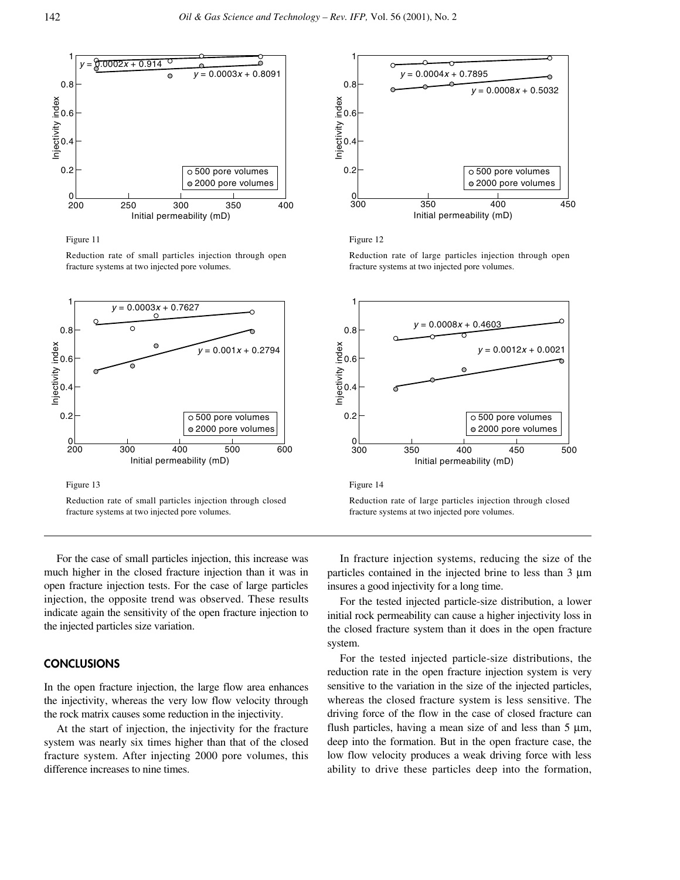

Figure 11

Reduction rate of small particles injection through open fracture systems at two injected pore volumes.



Figure 13

Reduction rate of small particles injection through closed fracture systems at two injected pore volumes.

For the case of small particles injection, this increase was much higher in the closed fracture injection than it was in open fracture injection tests. For the case of large particles injection, the opposite trend was observed. These results indicate again the sensitivity of the open fracture injection to the injected particles size variation.

# **CONCLUSIONS**

In the open fracture injection, the large flow area enhances the injectivity, whereas the very low flow velocity through the rock matrix causes some reduction in the injectivity.

At the start of injection, the injectivity for the fracture system was nearly six times higher than that of the closed fracture system. After injecting 2000 pore volumes, this difference increases to nine times.



#### Figure 12

Reduction rate of large particles injection through open fracture systems at two injected pore volumes.





Reduction rate of large particles injection through closed fracture systems at two injected pore volumes.

In fracture injection systems, reducing the size of the particles contained in the injected brine to less than 3 µm insures a good injectivity for a long time.

For the tested injected particle-size distribution, a lower initial rock permeability can cause a higher injectivity loss in the closed fracture system than it does in the open fracture system.

For the tested injected particle-size distributions, the reduction rate in the open fracture injection system is very sensitive to the variation in the size of the injected particles, whereas the closed fracture system is less sensitive. The driving force of the flow in the case of closed fracture can flush particles, having a mean size of and less than  $5 \mu m$ , deep into the formation. But in the open fracture case, the low flow velocity produces a weak driving force with less ability to drive these particles deep into the formation,